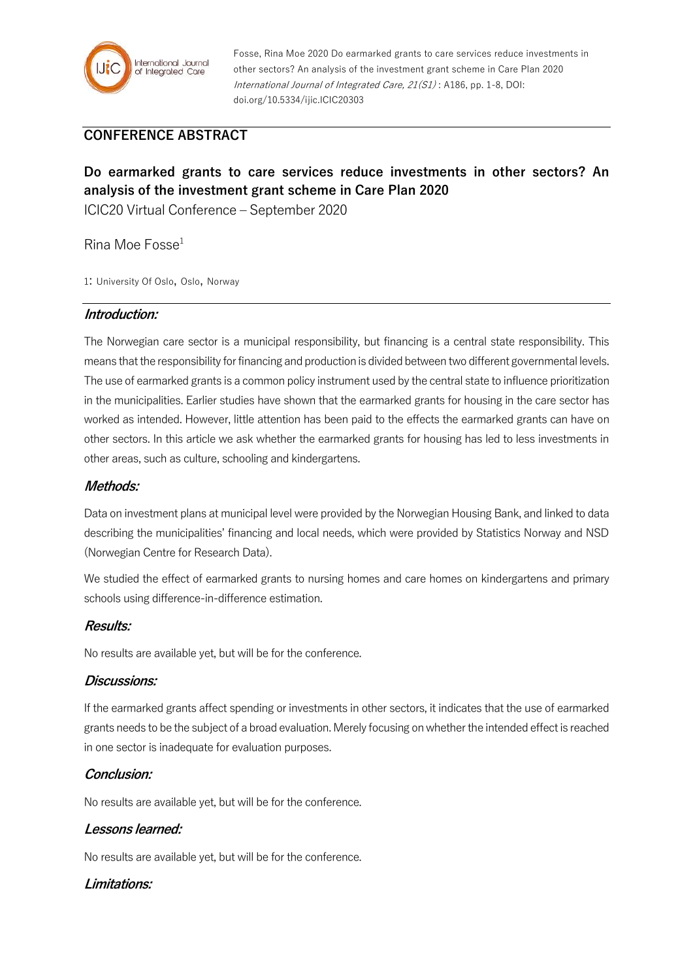

Fosse, Rina Moe 2020 Do earmarked grants to care services reduce investments in other sectors? An analysis of the investment grant scheme in Care Plan 2020 International Journal of Integrated Care, 21(S1) : A186, pp. 1-8, DOI: doi.org/10.5334/ijic.ICIC20303

## **CONFERENCE ABSTRACT**

# **Do earmarked grants to care services reduce investments in other sectors? An analysis of the investment grant scheme in Care Plan 2020**

ICIC20 Virtual Conference – September 2020

#### $R$ ina Moe Fosse $1$

1: University Of Oslo, Oslo, Norway

#### **Introduction:**

The Norwegian care sector is a municipal responsibility, but financing is a central state responsibility. This means that the responsibility for financing and production is divided between two different governmental levels. The use of earmarked grants is a common policy instrument used by the central state to influence prioritization in the municipalities. Earlier studies have shown that the earmarked grants for housing in the care sector has worked as intended. However, little attention has been paid to the effects the earmarked grants can have on other sectors. In this article we ask whether the earmarked grants for housing has led to less investments in other areas, such as culture, schooling and kindergartens.

#### **Methods:**

Data on investment plans at municipal level were provided by the Norwegian Housing Bank, and linked to data describing the municipalities' financing and local needs, which were provided by Statistics Norway and NSD (Norwegian Centre for Research Data).

We studied the effect of earmarked grants to nursing homes and care homes on kindergartens and primary schools using difference-in-difference estimation.

#### **Results:**

No results are available yet, but will be for the conference.

#### **Discussions:**

If the earmarked grants affect spending or investments in other sectors, it indicates that the use of earmarked grants needs to be the subject of a broad evaluation. Merely focusing on whether the intended effect is reached in one sector is inadequate for evaluation purposes.

#### **Conclusion:**

No results are available yet, but will be for the conference.

#### **Lessons learned:**

No results are available yet, but will be for the conference.

### **Limitations:**